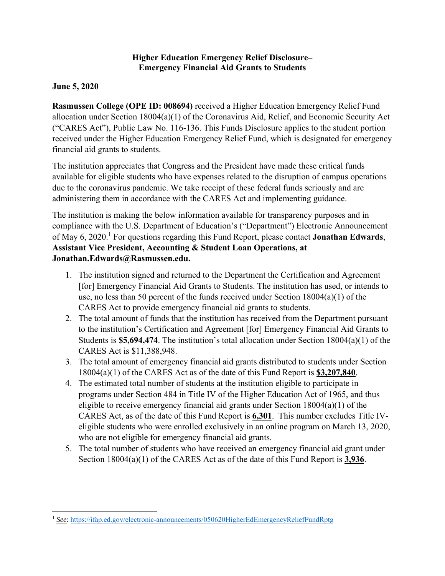### **Higher Education Emergency Relief Disclosure– Emergency Financial Aid Grants to Students**

## **June 5, 2020**

**Rasmussen College (OPE ID: 008694)** received a Higher Education Emergency Relief Fund allocation under Section 18004(a)(1) of the Coronavirus Aid, Relief, and Economic Security Act ("CARES Act"), Public Law No. 116-136. This Funds Disclosure applies to the student portion received under the Higher Education Emergency Relief Fund, which is designated for emergency financial aid grants to students.

The institution appreciates that Congress and the President have made these critical funds available for eligible students who have expenses related to the disruption of campus operations due to the coronavirus pandemic. We take receipt of these federal funds seriously and are administering them in accordance with the CARES Act and implementing guidance.

The institution is making the below information available for transparency purposes and in compliance with the U.S. Department of Education's ("Department") Electronic Announcement of May 6, 2020.<sup>1</sup> For questions regarding this Fund Report, please contact **Jonathan Edwards**, **Assistant Vice President, Accounting & Student Loan Operations, at Jonathan.Edwards@Rasmussen.edu.**

- 1. The institution signed and returned to the Department the Certification and Agreement [for] Emergency Financial Aid Grants to Students. The institution has used, or intends to use, no less than 50 percent of the funds received under Section 18004(a)(1) of the CARES Act to provide emergency financial aid grants to students.
- 2. The total amount of funds that the institution has received from the Department pursuant to the institution's Certification and Agreement [for] Emergency Financial Aid Grants to Students is **\$5,694,474**. The institution's total allocation under Section 18004(a)(1) of the CARES Act is \$11,388,948.
- 3. The total amount of emergency financial aid grants distributed to students under Section 18004(a)(1) of the CARES Act as of the date of this Fund Report is **\$3,207,840**.
- 4. The estimated total number of students at the institution eligible to participate in programs under Section 484 in Title IV of the Higher Education Act of 1965, and thus eligible to receive emergency financial aid grants under Section 18004(a)(1) of the CARES Act, as of the date of this Fund Report is **6,301**. This number excludes Title IVeligible students who were enrolled exclusively in an online program on March 13, 2020, who are not eligible for emergency financial aid grants.
- 5. The total number of students who have received an emergency financial aid grant under Section 18004(a)(1) of the CARES Act as of the date of this Fund Report is **3,936**.

 <sup>1</sup> *See*: https://ifap.ed.gov/electronic-announcements/050620HigherEdEmergencyReliefFundRptg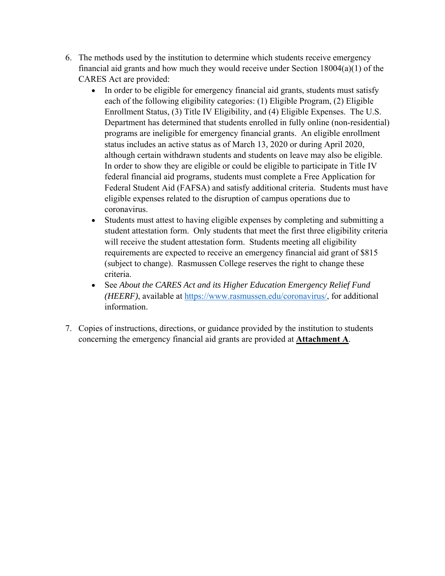- 6. The methods used by the institution to determine which students receive emergency financial aid grants and how much they would receive under Section 18004(a)(1) of the CARES Act are provided:
	- In order to be eligible for emergency financial aid grants, students must satisfy each of the following eligibility categories: (1) Eligible Program, (2) Eligible Enrollment Status, (3) Title IV Eligibility, and (4) Eligible Expenses. The U.S. Department has determined that students enrolled in fully online (non-residential) programs are ineligible for emergency financial grants. An eligible enrollment status includes an active status as of March 13, 2020 or during April 2020, although certain withdrawn students and students on leave may also be eligible. In order to show they are eligible or could be eligible to participate in Title IV federal financial aid programs, students must complete a Free Application for Federal Student Aid (FAFSA) and satisfy additional criteria. Students must have eligible expenses related to the disruption of campus operations due to coronavirus.
	- Students must attest to having eligible expenses by completing and submitting a student attestation form. Only students that meet the first three eligibility criteria will receive the student attestation form. Students meeting all eligibility requirements are expected to receive an emergency financial aid grant of \$815 (subject to change). Rasmussen College reserves the right to change these criteria.
	- See *About the CARES Act and its Higher Education Emergency Relief Fund (HEERF)*, available at https://www.rasmussen.edu/coronavirus/, for additional information.
- 7. Copies of instructions, directions, or guidance provided by the institution to students concerning the emergency financial aid grants are provided at **Attachment A**.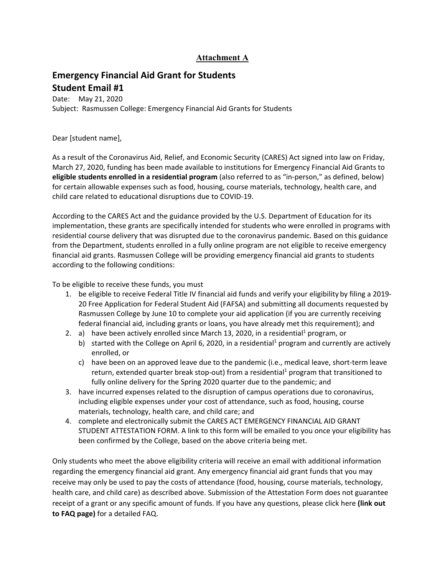## **Attachment A**

# **Emergency Financial Aid Grant for Students Student Email #1**

Date: May 21, 2020 Subject: Rasmussen College: Emergency Financial Aid Grants for Students

#### Dear [student name],

As a result of the Coronavirus Aid, Relief, and Economic Security (CARES) Act signed into law on Friday, March 27, 2020, funding has been made available to institutions for Emergency Financial Aid Grants to **eligible students enrolled in a residential program** (also referred to as "in‐person," as defined, below) for certain allowable expenses such as food, housing, course materials, technology, health care, and child care related to educational disruptions due to COVID‐19.

According to the CARES Act and the guidance provided by the U.S. Department of Education for its implementation, these grants are specifically intended for students who were enrolled in programs with residential course delivery that was disrupted due to the coronavirus pandemic. Based on this guidance from the Department, students enrolled in a fully online program are not eligible to receive emergency financial aid grants. Rasmussen College will be providing emergency financial aid grants to students according to the following conditions:

To be eligible to receive these funds, you must

- 1. be eligible to receive Federal Title IV financial aid funds and verify your eligibility by filing a 2019‐ 20 Free Application for Federal Student Aid (FAFSA) and submitting all documents requested by Rasmussen College by June 10 to complete your aid application (if you are currently receiving federal financial aid, including grants or loans, you have already met this requirement); and
- 2. a) have been actively enrolled since March 13, 2020, in a residential<sup>1</sup> program, or
	- b) started with the College on April 6, 2020, in a residential<sup>1</sup> program and currently are actively enrolled, or
	- c) have been on an approved leave due to the pandemic (i.e., medical leave, short‐term leave return, extended quarter break stop-out) from a residential<sup>1</sup> program that transitioned to fully online delivery for the Spring 2020 quarter due to the pandemic; and
- 3. have incurred expenses related to the disruption of campus operations due to coronavirus, including eligible expenses under your cost of attendance, such as food, housing, course materials, technology, health care, and child care; and
- 4. complete and electronically submit the CARES ACT EMERGENCY FINANCIAL AID GRANT STUDENT ATTESTATION FORM. A link to this form will be emailed to you once your eligibility has been confirmed by the College, based on the above criteria being met.

Only students who meet the above eligibility criteria will receive an email with additional information regarding the emergency financial aid grant. Any emergency financial aid grant funds that you may receive may only be used to pay the costs of attendance (food, housing, course materials, technology, health care, and child care) as described above. Submission of the Attestation Form does not guarantee receipt of a grant or any specific amount of funds. If you have any questions, please click here **(link out to FAQ page)** for a detailed FAQ.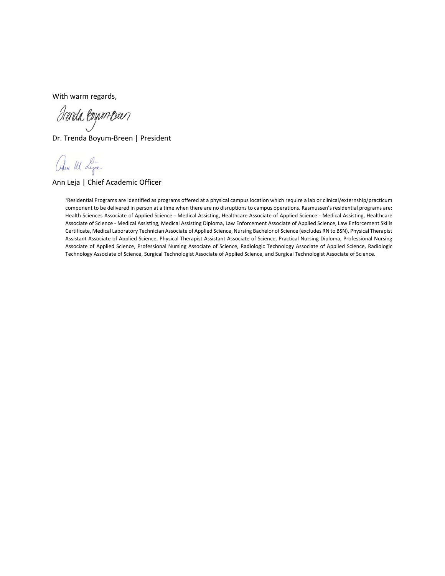With warm regards,

drenda loyum oeen

Dr. Trenda Boyum‐Breen | President

alu M Lya

Ann Leja | Chief Academic Officer

1 Residential Programs are identified as programs offered at a physical campus location which require a lab or clinical/externship/practicum component to be delivered in person at a time when there are no disruptions to campus operations. Rasmussen's residential programs are: Health Sciences Associate of Applied Science ‐ Medical Assisting, Healthcare Associate of Applied Science ‐ Medical Assisting, Healthcare Associate of Science ‐ Medical Assisting, Medical Assisting Diploma, Law Enforcement Associate of Applied Science, Law Enforcement Skills Certificate, Medical Laboratory Technician Associate of Applied Science, Nursing Bachelor of Science (excludes RN to BSN), Physical Therapist Assistant Associate of Applied Science, Physical Therapist Assistant Associate of Science, Practical Nursing Diploma, Professional Nursing Associate of Applied Science, Professional Nursing Associate of Science, Radiologic Technology Associate of Applied Science, Radiologic Technology Associate of Science, Surgical Technologist Associate of Applied Science, and Surgical Technologist Associate of Science.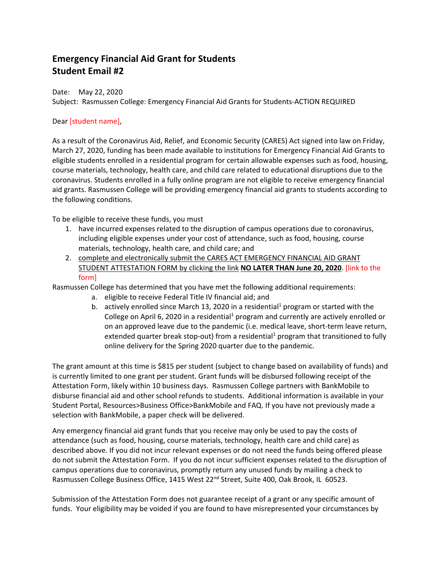# **Emergency Financial Aid Grant for Students Student Email #2**

Date: May 22, 2020

Subject: Rasmussen College: Emergency Financial Aid Grants for Students‐ACTION REQUIRED

#### Dear [student name],

As a result of the Coronavirus Aid, Relief, and Economic Security (CARES) Act signed into law on Friday, March 27, 2020, funding has been made available to institutions for Emergency Financial Aid Grants to eligible students enrolled in a residential program for certain allowable expenses such as food, housing, course materials, technology, health care, and child care related to educational disruptions due to the coronavirus. Students enrolled in a fully online program are not eligible to receive emergency financial aid grants. Rasmussen College will be providing emergency financial aid grants to students according to the following conditions.

To be eligible to receive these funds, you must

- 1. have incurred expenses related to the disruption of campus operations due to coronavirus, including eligible expenses under your cost of attendance, such as food, housing, course materials, technology, health care, and child care; and
- 2. complete and electronically submit the CARES ACT EMERGENCY FINANCIAL AID GRANT STUDENT ATTESTATION FORM by clicking the link **NO LATER THAN June 20, 2020**. [link to the form]

Rasmussen College has determined that you have met the following additional requirements:

- a. eligible to receive Federal Title IV financial aid; and
- b. actively enrolled since March 13, 2020 in a residential<sup>1</sup> program or started with the College on April 6, 2020 in a residential<sup>1</sup> program and currently are actively enrolled or on an approved leave due to the pandemic (i.e. medical leave, short‐term leave return, extended quarter break stop-out) from a residential<sup>1</sup> program that transitioned to fully online delivery for the Spring 2020 quarter due to the pandemic.

The grant amount at this time is \$815 per student (subject to change based on availability of funds) and is currently limited to one grant per student. Grant funds will be disbursed following receipt of the Attestation Form, likely within 10 business days. Rasmussen College partners with BankMobile to disburse financial aid and other school refunds to students. Additional information is available in your Student Portal, Resources>Business Office>BankMobile and FAQ. If you have not previously made a selection with BankMobile, a paper check will be delivered.

Any emergency financial aid grant funds that you receive may only be used to pay the costs of attendance (such as food, housing, course materials, technology, health care and child care) as described above. If you did not incur relevant expenses or do not need the funds being offered please do not submit the Attestation Form. If you do not incur sufficient expenses related to the disruption of campus operations due to coronavirus, promptly return any unused funds by mailing a check to Rasmussen College Business Office, 1415 West 22<sup>nd</sup> Street, Suite 400, Oak Brook, IL 60523.

Submission of the Attestation Form does not guarantee receipt of a grant or any specific amount of funds. Your eligibility may be voided if you are found to have misrepresented your circumstances by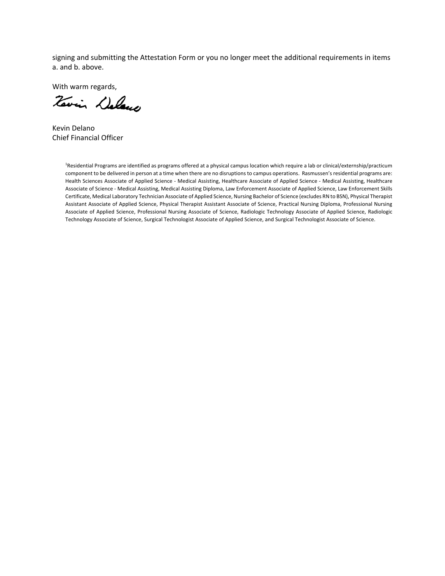signing and submitting the Attestation Form or you no longer meet the additional requirements in items a. and b. above.

With warm regards,

Terrin Delano

Kevin Delano Chief Financial Officer

1 Residential Programs are identified as programs offered at a physical campus location which require a lab or clinical/externship/practicum component to be delivered in person at a time when there are no disruptions to campus operations. Rasmussen's residential programs are: Health Sciences Associate of Applied Science ‐ Medical Assisting, Healthcare Associate of Applied Science ‐ Medical Assisting, Healthcare Associate of Science ‐ Medical Assisting, Medical Assisting Diploma, Law Enforcement Associate of Applied Science, Law Enforcement Skills Certificate, Medical Laboratory Technician Associate of Applied Science, Nursing Bachelor of Science (excludes RN to BSN), Physical Therapist Assistant Associate of Applied Science, Physical Therapist Assistant Associate of Science, Practical Nursing Diploma, Professional Nursing Associate of Applied Science, Professional Nursing Associate of Science, Radiologic Technology Associate of Applied Science, Radiologic Technology Associate of Science, Surgical Technologist Associate of Applied Science, and Surgical Technologist Associate of Science.